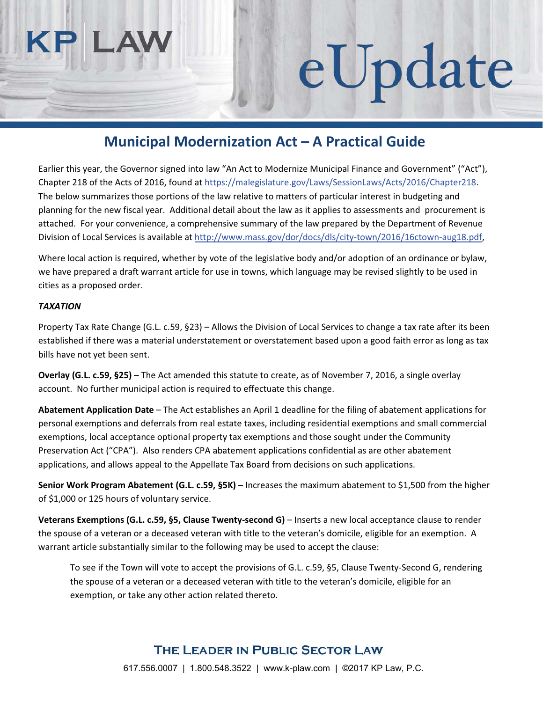# eUpdate

# **Municipal Modernization Act – A Practical Guide**

Earlier this year, the Governor signed into law "An Act to Modernize Municipal Finance and Government" ("Act"), Chapter 218 of the Acts of 2016, found at https://malegislature.gov/Laws/SessionLaws/Acts/2016/Chapter218. The below summarizes those portions of the law relative to matters of particular interest in budgeting and planning for the new fiscal year. Additional detail about the law as it applies to assessments and procurement is attached. For your convenience, a comprehensive summary of the law prepared by the Department of Revenue Division of Local Services is available at http://www.mass.gov/dor/docs/dls/city-town/2016/16ctown-aug18.pdf,

Where local action is required, whether by vote of the legislative body and/or adoption of an ordinance or bylaw, we have prepared a draft warrant article for use in towns, which language may be revised slightly to be used in cities as a proposed order.

#### *TAXATION*

Property Tax Rate Change (G.L. c.59, §23) – Allows the Division of Local Services to change a tax rate after its been established if there was a material understatement or overstatement based upon a good faith error as long as tax bills have not yet been sent.

**Overlay (G.L. c.59, §25)** – The Act amended this statute to create, as of November 7, 2016, a single overlay account. No further municipal action is required to effectuate this change.

**Abatement Application Date** – The Act establishes an April 1 deadline for the filing of abatement applications for personal exemptions and deferrals from real estate taxes, including residential exemptions and small commercial exemptions, local acceptance optional property tax exemptions and those sought under the Community Preservation Act ("CPA"). Also renders CPA abatement applications confidential as are other abatement applications, and allows appeal to the Appellate Tax Board from decisions on such applications.

**Senior Work Program Abatement (G.L. c.59, §5K)** – Increases the maximum abatement to \$1,500 from the higher of \$1,000 or 125 hours of voluntary service.

**Veterans Exemptions (G.L. c.59, §5, Clause Twenty-second G)** – Inserts a new local acceptance clause to render the spouse of a veteran or a deceased veteran with title to the veteran's domicile, eligible for an exemption. A warrant article substantially similar to the following may be used to accept the clause:

To see if the Town will vote to accept the provisions of G.L. c.59, §5, Clause Twenty-Second G, rendering the spouse of a veteran or a deceased veteran with title to the veteran's domicile, eligible for an exemption, or take any other action related thereto.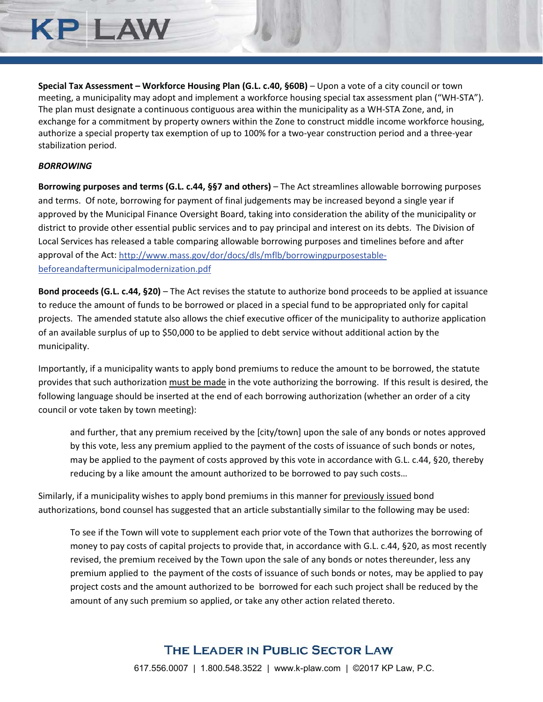**Special Tax Assessment – Workforce Housing Plan (G.L. c.40, §60B)** – Upon a vote of a city council or town meeting, a municipality may adopt and implement a workforce housing special tax assessment plan ("WH-STA"). The plan must designate a continuous contiguous area within the municipality as a WH-STA Zone, and, in exchange for a commitment by property owners within the Zone to construct middle income workforce housing, authorize a special property tax exemption of up to 100% for a two-year construction period and a three-year stabilization period.

#### *BORROWING*

**KP LAW** 

**Borrowing purposes and terms (G.L. c.44, §§7 and others)** – The Act streamlines allowable borrowing purposes and terms. Of note, borrowing for payment of final judgements may be increased beyond a single year if approved by the Municipal Finance Oversight Board, taking into consideration the ability of the municipality or district to provide other essential public services and to pay principal and interest on its debts. The Division of Local Services has released a table comparing allowable borrowing purposes and timelines before and after approval of the Act: http://www.mass.gov/dor/docs/dls/mflb/borrowingpurposestablebeforeandaftermunicipalmodernization.pdf

**Bond proceeds (G.L. c.44, §20)** – The Act revises the statute to authorize bond proceeds to be applied at issuance to reduce the amount of funds to be borrowed or placed in a special fund to be appropriated only for capital projects. The amended statute also allows the chief executive officer of the municipality to authorize application of an available surplus of up to \$50,000 to be applied to debt service without additional action by the municipality.

Importantly, if a municipality wants to apply bond premiums to reduce the amount to be borrowed, the statute provides that such authorization must be made in the vote authorizing the borrowing. If this result is desired, the following language should be inserted at the end of each borrowing authorization (whether an order of a city council or vote taken by town meeting):

and further, that any premium received by the [city/town] upon the sale of any bonds or notes approved by this vote, less any premium applied to the payment of the costs of issuance of such bonds or notes, may be applied to the payment of costs approved by this vote in accordance with G.L. c.44, §20, thereby reducing by a like amount the amount authorized to be borrowed to pay such costs…

Similarly, if a municipality wishes to apply bond premiums in this manner for previously issued bond authorizations, bond counsel has suggested that an article substantially similar to the following may be used:

To see if the Town will vote to supplement each prior vote of the Town that authorizes the borrowing of money to pay costs of capital projects to provide that, in accordance with G.L. c.44, §20, as most recently revised, the premium received by the Town upon the sale of any bonds or notes thereunder, less any premium applied to the payment of the costs of issuance of such bonds or notes, may be applied to pay project costs and the amount authorized to be borrowed for each such project shall be reduced by the amount of any such premium so applied, or take any other action related thereto.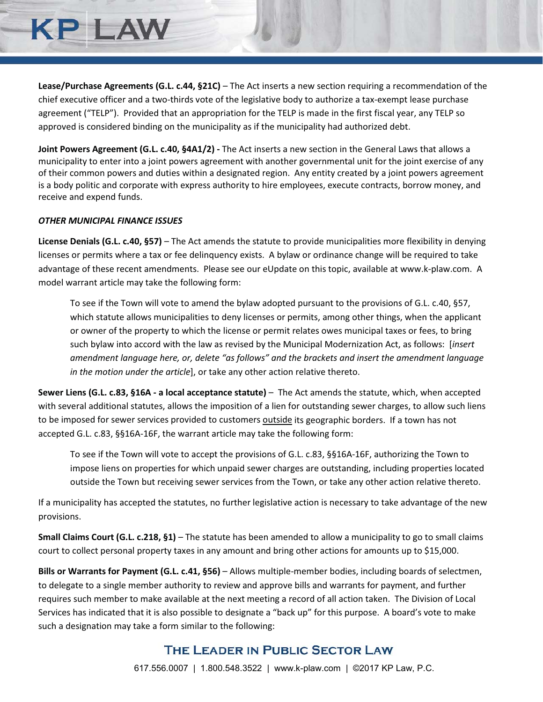**Lease/Purchase Agreements (G.L. c.44, §21C)** – The Act inserts a new section requiring a recommendation of the chief executive officer and a two-thirds vote of the legislative body to authorize a tax-exempt lease purchase agreement ("TELP"). Provided that an appropriation for the TELP is made in the first fiscal year, any TELP so approved is considered binding on the municipality as if the municipality had authorized debt.

**Joint Powers Agreement (G.L. c.40, §4A1/2) -** The Act inserts a new section in the General Laws that allows a municipality to enter into a joint powers agreement with another governmental unit for the joint exercise of any of their common powers and duties within a designated region. Any entity created by a joint powers agreement is a body politic and corporate with express authority to hire employees, execute contracts, borrow money, and receive and expend funds.

#### *OTHER MUNICIPAL FINANCE ISSUES*

**KP LAW** 

**License Denials (G.L. c.40, §57)** – The Act amends the statute to provide municipalities more flexibility in denying licenses or permits where a tax or fee delinquency exists. A bylaw or ordinance change will be required to take advantage of these recent amendments. Please see our eUpdate on this topic, available at www.k-plaw.com. A model warrant article may take the following form:

To see if the Town will vote to amend the bylaw adopted pursuant to the provisions of G.L. c.40, §57, which statute allows municipalities to deny licenses or permits, among other things, when the applicant or owner of the property to which the license or permit relates owes municipal taxes or fees, to bring such bylaw into accord with the law as revised by the Municipal Modernization Act, as follows: [*insert amendment language here, or, delete "as follows" and the brackets and insert the amendment language in the motion under the article*], or take any other action relative thereto.

**Sewer Liens (G.L. c.83, §16A - a local acceptance statute)** – The Act amends the statute, which, when accepted with several additional statutes, allows the imposition of a lien for outstanding sewer charges, to allow such liens to be imposed for sewer services provided to customers outside its geographic borders. If a town has not accepted G.L. c.83, §§16A-16F, the warrant article may take the following form:

To see if the Town will vote to accept the provisions of G.L. c.83, §§16A-16F, authorizing the Town to impose liens on properties for which unpaid sewer charges are outstanding, including properties located outside the Town but receiving sewer services from the Town, or take any other action relative thereto.

If a municipality has accepted the statutes, no further legislative action is necessary to take advantage of the new provisions.

**Small Claims Court (G.L. c.218, §1)** – The statute has been amended to allow a municipality to go to small claims court to collect personal property taxes in any amount and bring other actions for amounts up to \$15,000.

**Bills or Warrants for Payment (G.L. c.41, §56)** – Allows multiple-member bodies, including boards of selectmen, to delegate to a single member authority to review and approve bills and warrants for payment, and further requires such member to make available at the next meeting a record of all action taken. The Division of Local Services has indicated that it is also possible to designate a "back up" for this purpose. A board's vote to make such a designation may take a form similar to the following: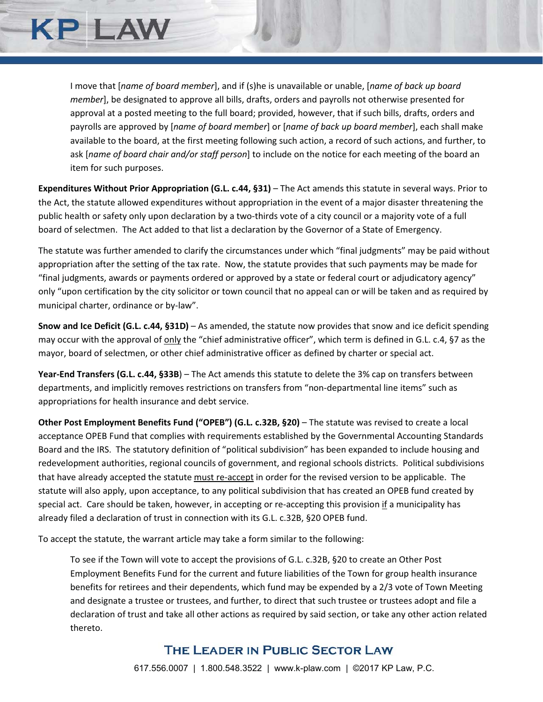I move that [*name of board member*], and if (s)he is unavailable or unable, [*name of back up board member*], be designated to approve all bills, drafts, orders and payrolls not otherwise presented for approval at a posted meeting to the full board; provided, however, that if such bills, drafts, orders and payrolls are approved by [*name of board member*] or [*name of back up board member*], each shall make available to the board, at the first meeting following such action, a record of such actions, and further, to ask [*name of board chair and/or staff person*] to include on the notice for each meeting of the board an item for such purposes.

**KP LAW** 

**Expenditures Without Prior Appropriation (G.L. c.44, §31)** – The Act amends this statute in several ways. Prior to the Act, the statute allowed expenditures without appropriation in the event of a major disaster threatening the public health or safety only upon declaration by a two-thirds vote of a city council or a majority vote of a full board of selectmen. The Act added to that list a declaration by the Governor of a State of Emergency.

The statute was further amended to clarify the circumstances under which "final judgments" may be paid without appropriation after the setting of the tax rate. Now, the statute provides that such payments may be made for "final judgments, awards or payments ordered or approved by a state or federal court or adjudicatory agency" only "upon certification by the city solicitor or town council that no appeal can or will be taken and as required by municipal charter, ordinance or by-law".

**Snow and Ice Deficit (G.L. c.44, §31D)** – As amended, the statute now provides that snow and ice deficit spending may occur with the approval of only the "chief administrative officer", which term is defined in G.L. c.4, §7 as the mayor, board of selectmen, or other chief administrative officer as defined by charter or special act.

**Year-End Transfers (G.L. c.44, §33B**) – The Act amends this statute to delete the 3% cap on transfers between departments, and implicitly removes restrictions on transfers from "non-departmental line items" such as appropriations for health insurance and debt service.

**Other Post Employment Benefits Fund ("OPEB") (G.L. c.32B, §20)** – The statute was revised to create a local acceptance OPEB Fund that complies with requirements established by the Governmental Accounting Standards Board and the IRS. The statutory definition of "political subdivision" has been expanded to include housing and redevelopment authorities, regional councils of government, and regional schools districts. Political subdivisions that have already accepted the statute must re-accept in order for the revised version to be applicable. The statute will also apply, upon acceptance, to any political subdivision that has created an OPEB fund created by special act. Care should be taken, however, in accepting or re-accepting this provision if a municipality has already filed a declaration of trust in connection with its G.L. c.32B, §20 OPEB fund.

To accept the statute, the warrant article may take a form similar to the following:

To see if the Town will vote to accept the provisions of G.L. c.32B, §20 to create an Other Post Employment Benefits Fund for the current and future liabilities of the Town for group health insurance benefits for retirees and their dependents, which fund may be expended by a 2/3 vote of Town Meeting and designate a trustee or trustees, and further, to direct that such trustee or trustees adopt and file a declaration of trust and take all other actions as required by said section, or take any other action related thereto.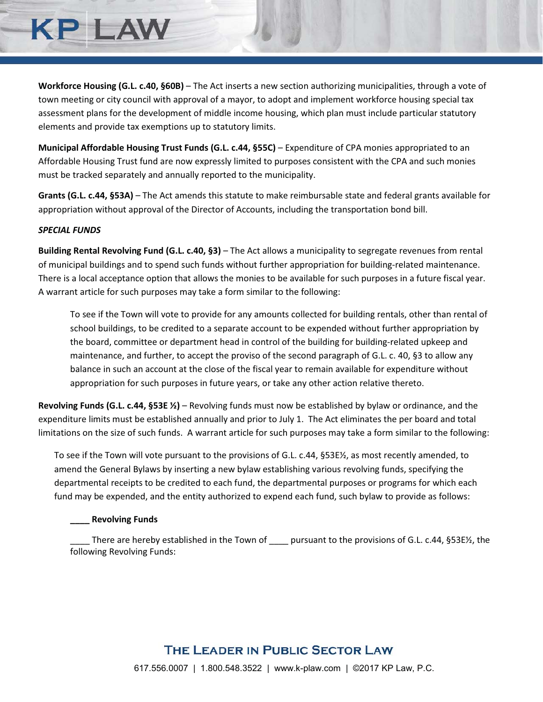**Workforce Housing (G.L. c.40, §60B)** – The Act inserts a new section authorizing municipalities, through a vote of town meeting or city council with approval of a mayor, to adopt and implement workforce housing special tax assessment plans for the development of middle income housing, which plan must include particular statutory elements and provide tax exemptions up to statutory limits.

**Municipal Affordable Housing Trust Funds (G.L. c.44, §55C)** – Expenditure of CPA monies appropriated to an Affordable Housing Trust fund are now expressly limited to purposes consistent with the CPA and such monies must be tracked separately and annually reported to the municipality.

**Grants (G.L. c.44, §53A)** – The Act amends this statute to make reimbursable state and federal grants available for appropriation without approval of the Director of Accounts, including the transportation bond bill.

#### *SPECIAL FUNDS*

**KP LAW** 

**Building Rental Revolving Fund (G.L. c.40, §3)** – The Act allows a municipality to segregate revenues from rental of municipal buildings and to spend such funds without further appropriation for building-related maintenance. There is a local acceptance option that allows the monies to be available for such purposes in a future fiscal year. A warrant article for such purposes may take a form similar to the following:

To see if the Town will vote to provide for any amounts collected for building rentals, other than rental of school buildings, to be credited to a separate account to be expended without further appropriation by the board, committee or department head in control of the building for building-related upkeep and maintenance, and further, to accept the proviso of the second paragraph of G.L. c. 40, §3 to allow any balance in such an account at the close of the fiscal year to remain available for expenditure without appropriation for such purposes in future years, or take any other action relative thereto.

**Revolving Funds (G.L. c.44, §53E ½)** – Revolving funds must now be established by bylaw or ordinance, and the expenditure limits must be established annually and prior to July 1. The Act eliminates the per board and total limitations on the size of such funds. A warrant article for such purposes may take a form similar to the following:

To see if the Town will vote pursuant to the provisions of G.L. c.44, §53E½, as most recently amended, to amend the General Bylaws by inserting a new bylaw establishing various revolving funds, specifying the departmental receipts to be credited to each fund, the departmental purposes or programs for which each fund may be expended, and the entity authorized to expend each fund, such bylaw to provide as follows:

#### **\_\_\_\_ Revolving Funds**

\_\_\_\_ There are hereby established in the Town of \_\_\_\_ pursuant to the provisions of G.L. c.44, §53E½, the following Revolving Funds:

# THE LEADER IN PUBLIC SECTOR LAW

617.556.0007 | 1.800.548.3522 | www.k-plaw.com | ©2017 KP Law, P.C.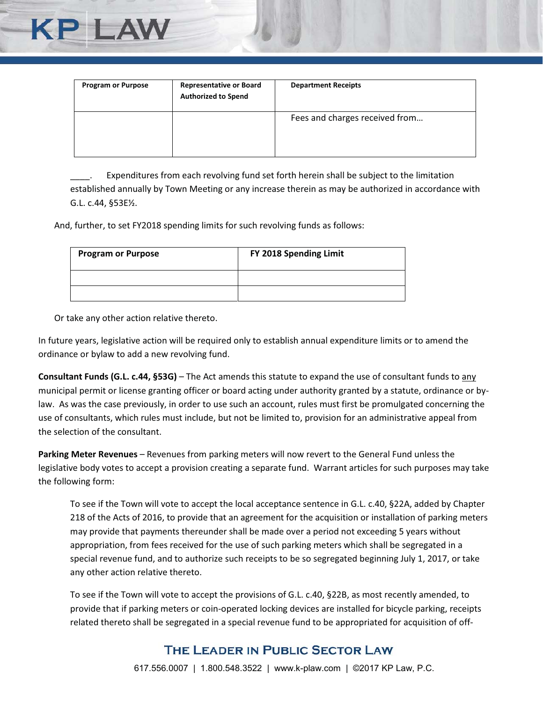| <b>Program or Purpose</b> | <b>Representative or Board</b><br><b>Authorized to Spend</b> | <b>Department Receipts</b>     |
|---------------------------|--------------------------------------------------------------|--------------------------------|
|                           |                                                              | Fees and charges received from |

Expenditures from each revolving fund set forth herein shall be subject to the limitation established annually by Town Meeting or any increase therein as may be authorized in accordance with G.L. c.44, §53E½.

And, further, to set FY2018 spending limits for such revolving funds as follows:

| <b>Program or Purpose</b> | FY 2018 Spending Limit |
|---------------------------|------------------------|
|                           |                        |
|                           |                        |

Or take any other action relative thereto.

**KP LAW** 

In future years, legislative action will be required only to establish annual expenditure limits or to amend the ordinance or bylaw to add a new revolving fund.

**Consultant Funds (G.L. c.44, §53G)** – The Act amends this statute to expand the use of consultant funds to any municipal permit or license granting officer or board acting under authority granted by a statute, ordinance or bylaw. As was the case previously, in order to use such an account, rules must first be promulgated concerning the use of consultants, which rules must include, but not be limited to, provision for an administrative appeal from the selection of the consultant.

**Parking Meter Revenues** – Revenues from parking meters will now revert to the General Fund unless the legislative body votes to accept a provision creating a separate fund. Warrant articles for such purposes may take the following form:

To see if the Town will vote to accept the local acceptance sentence in G.L. c.40, §22A, added by Chapter 218 of the Acts of 2016, to provide that an agreement for the acquisition or installation of parking meters may provide that payments thereunder shall be made over a period not exceeding 5 years without appropriation, from fees received for the use of such parking meters which shall be segregated in a special revenue fund, and to authorize such receipts to be so segregated beginning July 1, 2017, or take any other action relative thereto.

To see if the Town will vote to accept the provisions of G.L. c.40, §22B, as most recently amended, to provide that if parking meters or coin-operated locking devices are installed for bicycle parking, receipts related thereto shall be segregated in a special revenue fund to be appropriated for acquisition of off-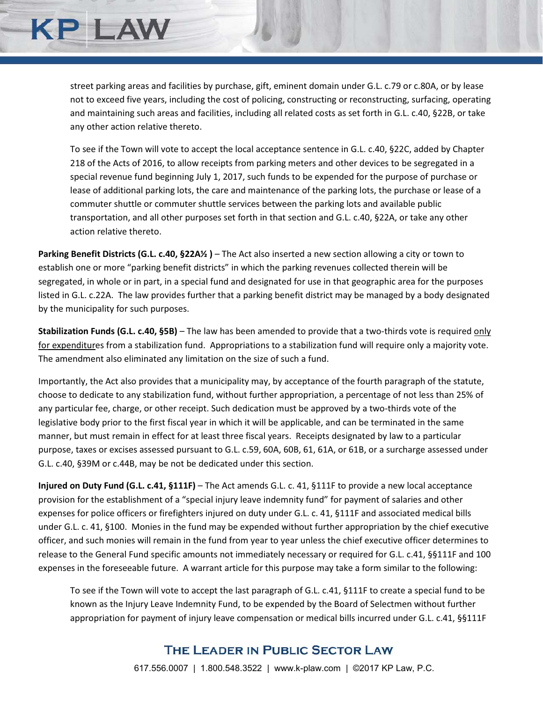street parking areas and facilities by purchase, gift, eminent domain under G.L. c.79 or c.80A, or by lease not to exceed five years, including the cost of policing, constructing or reconstructing, surfacing, operating and maintaining such areas and facilities, including all related costs as set forth in G.L. c.40, §22B, or take any other action relative thereto.

**KP LAW** 

To see if the Town will vote to accept the local acceptance sentence in G.L. c.40, §22C, added by Chapter 218 of the Acts of 2016, to allow receipts from parking meters and other devices to be segregated in a special revenue fund beginning July 1, 2017, such funds to be expended for the purpose of purchase or lease of additional parking lots, the care and maintenance of the parking lots, the purchase or lease of a commuter shuttle or commuter shuttle services between the parking lots and available public transportation, and all other purposes set forth in that section and G.L. c.40, §22A, or take any other action relative thereto.

**Parking Benefit Districts (G.L. c.40, §22A½)** – The Act also inserted a new section allowing a city or town to establish one or more "parking benefit districts" in which the parking revenues collected therein will be segregated, in whole or in part, in a special fund and designated for use in that geographic area for the purposes listed in G.L. c.22A. The law provides further that a parking benefit district may be managed by a body designated by the municipality for such purposes.

**Stabilization Funds (G.L. c.40, §5B)** – The law has been amended to provide that a two-thirds vote is required only for expenditures from a stabilization fund. Appropriations to a stabilization fund will require only a majority vote. The amendment also eliminated any limitation on the size of such a fund.

Importantly, the Act also provides that a municipality may, by acceptance of the fourth paragraph of the statute, choose to dedicate to any stabilization fund, without further appropriation, a percentage of not less than 25% of any particular fee, charge, or other receipt. Such dedication must be approved by a two-thirds vote of the legislative body prior to the first fiscal year in which it will be applicable, and can be terminated in the same manner, but must remain in effect for at least three fiscal years. Receipts designated by law to a particular purpose, taxes or excises assessed pursuant to G.L. c.59, 60A, 60B, 61, 61A, or 61B, or a surcharge assessed under G.L. c.40, §39M or c.44B, may be not be dedicated under this section.

**Injured on Duty Fund (G.L. c.41, §111F)** – The Act amends G.L. c. 41, §111F to provide a new local acceptance provision for the establishment of a "special injury leave indemnity fund" for payment of salaries and other expenses for police officers or firefighters injured on duty under G.L. c. 41, §111F and associated medical bills under G.L. c. 41, §100. Monies in the fund may be expended without further appropriation by the chief executive officer, and such monies will remain in the fund from year to year unless the chief executive officer determines to release to the General Fund specific amounts not immediately necessary or required for G.L. c.41, §§111F and 100 expenses in the foreseeable future. A warrant article for this purpose may take a form similar to the following:

To see if the Town will vote to accept the last paragraph of G.L. c.41, §111F to create a special fund to be known as the Injury Leave Indemnity Fund, to be expended by the Board of Selectmen without further appropriation for payment of injury leave compensation or medical bills incurred under G.L. c.41, §§111F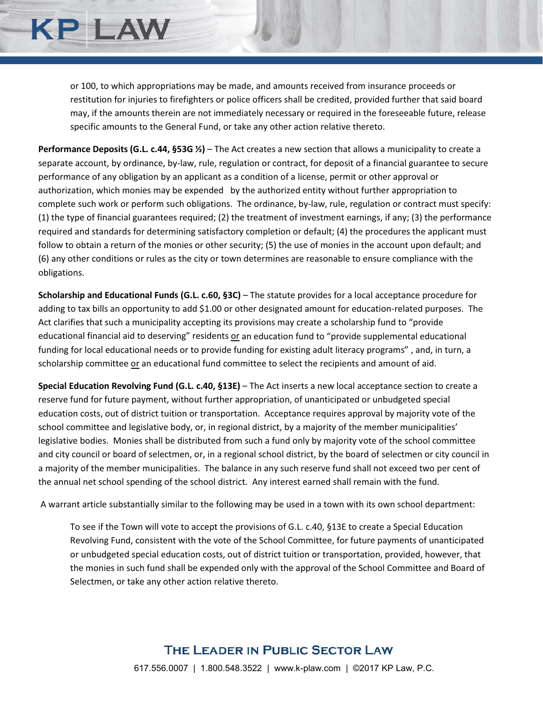or 100, to which appropriations may be made, and amounts received from insurance proceeds or restitution for injuries to firefighters or police officers shall be credited, provided further that said board may, if the amounts therein are not immediately necessary or required in the foreseeable future, release specific amounts to the General Fund, or take any other action relative thereto.

**KP LAW** 

**Performance Deposits (G.L. c.44, §53G ½)** – The Act creates a new section that allows a municipality to create a separate account, by ordinance, by-law, rule, regulation or contract, for deposit of a financial guarantee to secure performance of any obligation by an applicant as a condition of a license, permit or other approval or authorization, which monies may be expended by the authorized entity without further appropriation to complete such work or perform such obligations. The ordinance, by-law, rule, regulation or contract must specify: (1) the type of financial guarantees required; (2) the treatment of investment earnings, if any; (3) the performance required and standards for determining satisfactory completion or default; (4) the procedures the applicant must follow to obtain a return of the monies or other security; (5) the use of monies in the account upon default; and (6) any other conditions or rules as the city or town determines are reasonable to ensure compliance with the obligations.

**Scholarship and Educational Funds (G.L. c.60, §3C)** – The statute provides for a local acceptance procedure for adding to tax bills an opportunity to add \$1.00 or other designated amount for education-related purposes. The Act clarifies that such a municipality accepting its provisions may create a scholarship fund to "provide educational financial aid to deserving" residents or an education fund to "provide supplemental educational funding for local educational needs or to provide funding for existing adult literacy programs" , and, in turn, a scholarship committee or an educational fund committee to select the recipients and amount of aid.

**Special Education Revolving Fund (G.L. c.40, §13E)** – The Act inserts a new local acceptance section to create a reserve fund for future payment, without further appropriation, of unanticipated or unbudgeted special education costs, out of district tuition or transportation. Acceptance requires approval by majority vote of the school committee and legislative body, or, in regional district, by a majority of the member municipalities' legislative bodies. Monies shall be distributed from such a fund only by majority vote of the school committee and city council or board of selectmen, or, in a regional school district, by the board of selectmen or city council in a majority of the member municipalities. The balance in any such reserve fund shall not exceed two per cent of the annual net school spending of the school district. Any interest earned shall remain with the fund.

A warrant article substantially similar to the following may be used in a town with its own school department:

To see if the Town will vote to accept the provisions of G.L. c.40, §13E to create a Special Education Revolving Fund, consistent with the vote of the School Committee, for future payments of unanticipated or unbudgeted special education costs, out of district tuition or transportation, provided, however, that the monies in such fund shall be expended only with the approval of the School Committee and Board of Selectmen, or take any other action relative thereto.

# THE LEADER IN PUBLIC SECTOR LAW 617.556.0007 | 1.800.548.3522 | www.k-plaw.com | ©2017 KP Law, P.C.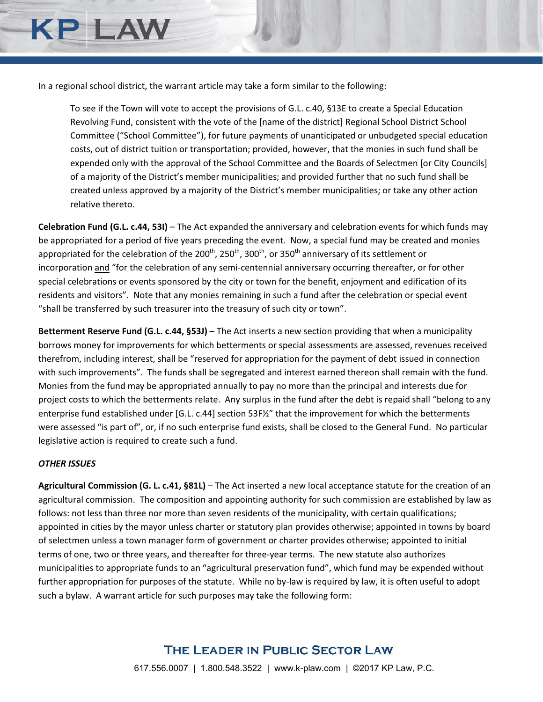In a regional school district, the warrant article may take a form similar to the following:

To see if the Town will vote to accept the provisions of G.L. c.40, §13E to create a Special Education Revolving Fund, consistent with the vote of the [name of the district] Regional School District School Committee ("School Committee"), for future payments of unanticipated or unbudgeted special education costs, out of district tuition or transportation; provided, however, that the monies in such fund shall be expended only with the approval of the School Committee and the Boards of Selectmen [or City Councils] of a majority of the District's member municipalities; and provided further that no such fund shall be created unless approved by a majority of the District's member municipalities; or take any other action relative thereto.

**Celebration Fund (G.L. c.44, 53I)** – The Act expanded the anniversary and celebration events for which funds may be appropriated for a period of five years preceding the event. Now, a special fund may be created and monies appropriated for the celebration of the 200<sup>th</sup>, 250<sup>th</sup>, 300<sup>th</sup>, or 350<sup>th</sup> anniversary of its settlement or incorporation and "for the celebration of any semi-centennial anniversary occurring thereafter, or for other special celebrations or events sponsored by the city or town for the benefit, enjoyment and edification of its residents and visitors". Note that any monies remaining in such a fund after the celebration or special event "shall be transferred by such treasurer into the treasury of such city or town".

**Betterment Reserve Fund (G.L. c.44, §53J)** – The Act inserts a new section providing that when a municipality borrows money for improvements for which betterments or special assessments are assessed, revenues received therefrom, including interest, shall be "reserved for appropriation for the payment of debt issued in connection with such improvements". The funds shall be segregated and interest earned thereon shall remain with the fund. Monies from the fund may be appropriated annually to pay no more than the principal and interests due for project costs to which the betterments relate. Any surplus in the fund after the debt is repaid shall "belong to any enterprise fund established under [G.L. c.44] section 53F½" that the improvement for which the betterments were assessed "is part of", or, if no such enterprise fund exists, shall be closed to the General Fund. No particular legislative action is required to create such a fund.

#### *OTHER ISSUES*

**KP LAW** 

**Agricultural Commission (G. L. c.41, §81L)** – The Act inserted a new local acceptance statute for the creation of an agricultural commission. The composition and appointing authority for such commission are established by law as follows: not less than three nor more than seven residents of the municipality, with certain qualifications; appointed in cities by the mayor unless charter or statutory plan provides otherwise; appointed in towns by board of selectmen unless a town manager form of government or charter provides otherwise; appointed to initial terms of one, two or three years, and thereafter for three-year terms. The new statute also authorizes municipalities to appropriate funds to an "agricultural preservation fund", which fund may be expended without further appropriation for purposes of the statute. While no by-law is required by law, it is often useful to adopt such a bylaw. A warrant article for such purposes may take the following form: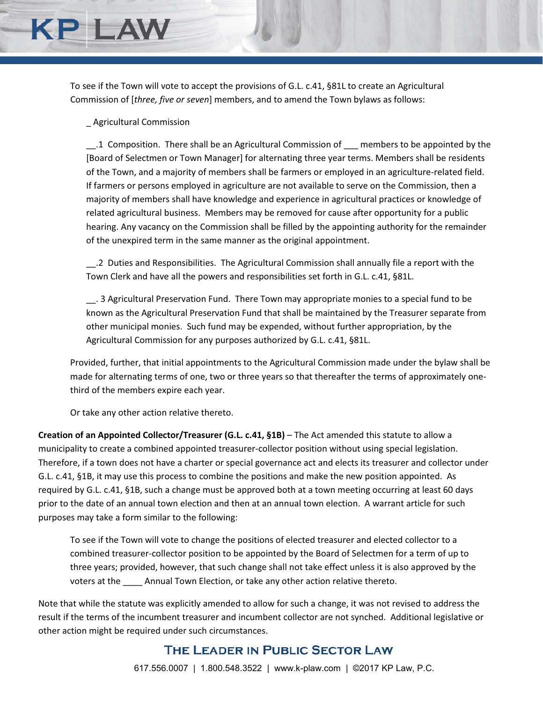To see if the Town will vote to accept the provisions of G.L. c.41, §81L to create an Agricultural Commission of [*three, five or seven*] members, and to amend the Town bylaws as follows:

\_ Agricultural Commission

**KP LAW** 

\_\_.1 Composition. There shall be an Agricultural Commission of \_\_\_ members to be appointed by the [Board of Selectmen or Town Manager] for alternating three year terms. Members shall be residents of the Town, and a majority of members shall be farmers or employed in an agriculture-related field. If farmers or persons employed in agriculture are not available to serve on the Commission, then a majority of members shall have knowledge and experience in agricultural practices or knowledge of related agricultural business. Members may be removed for cause after opportunity for a public hearing. Any vacancy on the Commission shall be filled by the appointing authority for the remainder of the unexpired term in the same manner as the original appointment.

\_\_.2 Duties and Responsibilities. The Agricultural Commission shall annually file a report with the Town Clerk and have all the powers and responsibilities set forth in G.L. c.41, §81L.

\_\_. 3 Agricultural Preservation Fund. There Town may appropriate monies to a special fund to be known as the Agricultural Preservation Fund that shall be maintained by the Treasurer separate from other municipal monies. Such fund may be expended, without further appropriation, by the Agricultural Commission for any purposes authorized by G.L. c.41, §81L.

Provided, further, that initial appointments to the Agricultural Commission made under the bylaw shall be made for alternating terms of one, two or three years so that thereafter the terms of approximately onethird of the members expire each year.

Or take any other action relative thereto.

**Creation of an Appointed Collector/Treasurer (G.L. c.41, §1B)** – The Act amended this statute to allow a municipality to create a combined appointed treasurer-collector position without using special legislation. Therefore, if a town does not have a charter or special governance act and elects its treasurer and collector under G.L. c.41, §1B, it may use this process to combine the positions and make the new position appointed. As required by G.L. c.41, §1B, such a change must be approved both at a town meeting occurring at least 60 days prior to the date of an annual town election and then at an annual town election. A warrant article for such purposes may take a form similar to the following:

To see if the Town will vote to change the positions of elected treasurer and elected collector to a combined treasurer-collector position to be appointed by the Board of Selectmen for a term of up to three years; provided, however, that such change shall not take effect unless it is also approved by the voters at the **Annual Town Election, or take any other action relative thereto.** 

Note that while the statute was explicitly amended to allow for such a change, it was not revised to address the result if the terms of the incumbent treasurer and incumbent collector are not synched. Additional legislative or other action might be required under such circumstances.